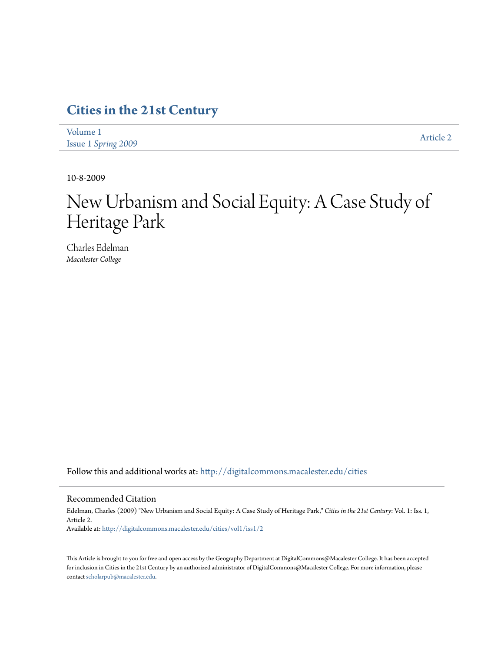# **[Cities in the 21st Century](http://digitalcommons.macalester.edu/cities?utm_source=digitalcommons.macalester.edu%2Fcities%2Fvol1%2Fiss1%2F2&utm_medium=PDF&utm_campaign=PDFCoverPages)**

[Volume 1](http://digitalcommons.macalester.edu/cities/vol1?utm_source=digitalcommons.macalester.edu%2Fcities%2Fvol1%2Fiss1%2F2&utm_medium=PDF&utm_campaign=PDFCoverPages) Issue 1 *[Spring 2009](http://digitalcommons.macalester.edu/cities/vol1/iss1?utm_source=digitalcommons.macalester.edu%2Fcities%2Fvol1%2Fiss1%2F2&utm_medium=PDF&utm_campaign=PDFCoverPages)* [Article 2](http://digitalcommons.macalester.edu/cities/vol1/iss1/2?utm_source=digitalcommons.macalester.edu%2Fcities%2Fvol1%2Fiss1%2F2&utm_medium=PDF&utm_campaign=PDFCoverPages)

10-8-2009

# New Urbanism and Social Equity: A Case Study of Heritage Park

Charles Edelman *Macalester College*

Follow this and additional works at: [http://digitalcommons.macalester.edu/cities](http://digitalcommons.macalester.edu/cities?utm_source=digitalcommons.macalester.edu%2Fcities%2Fvol1%2Fiss1%2F2&utm_medium=PDF&utm_campaign=PDFCoverPages)

#### Recommended Citation

Edelman, Charles (2009) "New Urbanism and Social Equity: A Case Study of Heritage Park," *Cities in the 21st Century*: Vol. 1: Iss. 1, Article 2. Available at: [http://digitalcommons.macalester.edu/cities/vol1/iss1/2](http://digitalcommons.macalester.edu/cities/vol1/iss1/2?utm_source=digitalcommons.macalester.edu%2Fcities%2Fvol1%2Fiss1%2F2&utm_medium=PDF&utm_campaign=PDFCoverPages)

This Article is brought to you for free and open access by the Geography Department at DigitalCommons@Macalester College. It has been accepted for inclusion in Cities in the 21st Century by an authorized administrator of DigitalCommons@Macalester College. For more information, please contact [scholarpub@macalester.edu.](mailto:scholarpub@macalester.edu)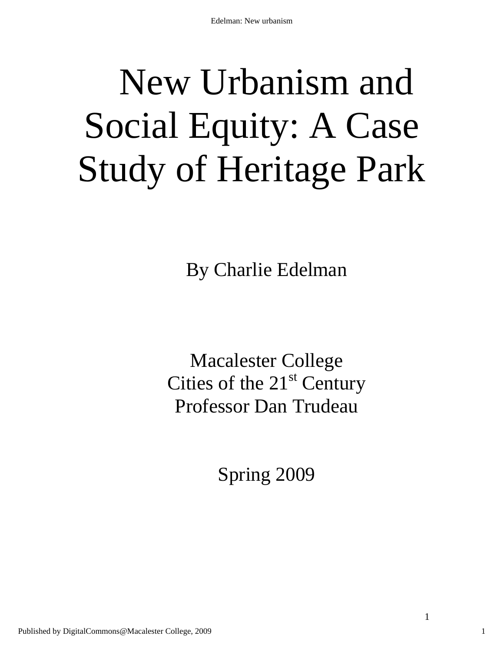# New Urbanism and Social Equity: A Case Study of Heritage Park

By Charlie Edelman

Macalester College Cities of the  $21<sup>st</sup>$  Century Professor Dan Trudeau

Spring 2009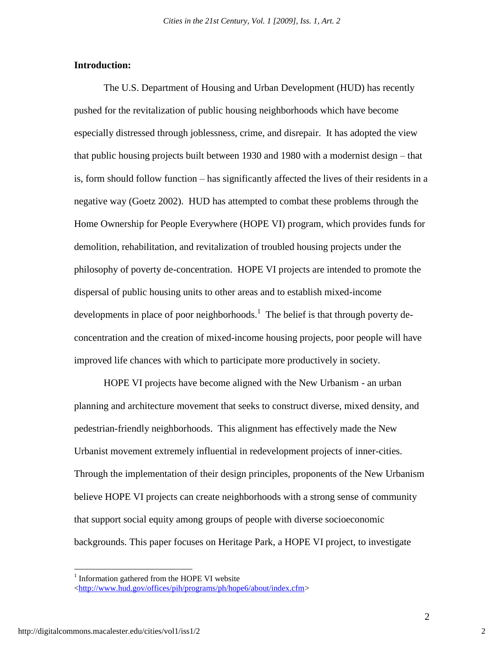#### **Introduction:**

The U.S. Department of Housing and Urban Development (HUD) has recently pushed for the revitalization of public housing neighborhoods which have become especially distressed through joblessness, crime, and disrepair. It has adopted the view that public housing projects built between 1930 and 1980 with a modernist design – that is, form should follow function – has significantly affected the lives of their residents in a negative way (Goetz 2002). HUD has attempted to combat these problems through the Home Ownership for People Everywhere (HOPE VI) program, which provides funds for demolition, rehabilitation, and revitalization of troubled housing projects under the philosophy of poverty de-concentration. HOPE VI projects are intended to promote the dispersal of public housing units to other areas and to establish mixed-income developments in place of poor neighborhoods.<sup>1</sup> The belief is that through poverty deconcentration and the creation of mixed-income housing projects, poor people will have improved life chances with which to participate more productively in society.

HOPE VI projects have become aligned with the New Urbanism - an urban planning and architecture movement that seeks to construct diverse, mixed density, and pedestrian-friendly neighborhoods. This alignment has effectively made the New Urbanist movement extremely influential in redevelopment projects of inner-cities. Through the implementation of their design principles, proponents of the New Urbanism believe HOPE VI projects can create neighborhoods with a strong sense of community that support social equity among groups of people with diverse socioeconomic backgrounds. This paper focuses on Heritage Park, a HOPE VI project, to investigate

<sup>&</sup>lt;sup>1</sup> Information gathered from the HOPE VI website

[<sup>&</sup>lt;http://www.hud.gov/offices/pih/programs/ph/hope6/about/index.cfm>](http://www.hud.gov/offices/pih/programs/ph/hope6/about/index.cfm)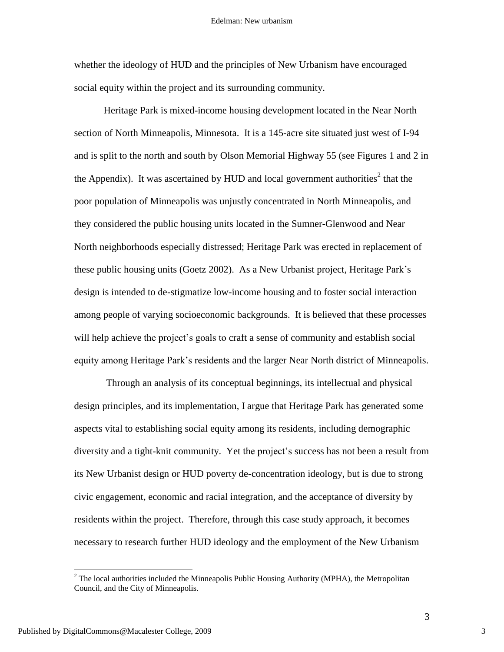whether the ideology of HUD and the principles of New Urbanism have encouraged social equity within the project and its surrounding community.

Heritage Park is mixed-income housing development located in the Near North section of North Minneapolis, Minnesota. It is a 145-acre site situated just west of I-94 and is split to the north and south by Olson Memorial Highway 55 (see Figures 1 and 2 in the Appendix). It was ascertained by HUD and local government authorities<sup>2</sup> that the poor population of Minneapolis was unjustly concentrated in North Minneapolis, and they considered the public housing units located in the Sumner-Glenwood and Near North neighborhoods especially distressed; Heritage Park was erected in replacement of these public housing units (Goetz 2002). As a New Urbanist project, Heritage Park"s design is intended to de-stigmatize low-income housing and to foster social interaction among people of varying socioeconomic backgrounds. It is believed that these processes will help achieve the project's goals to craft a sense of community and establish social equity among Heritage Park"s residents and the larger Near North district of Minneapolis.

Through an analysis of its conceptual beginnings, its intellectual and physical design principles, and its implementation, I argue that Heritage Park has generated some aspects vital to establishing social equity among its residents, including demographic diversity and a tight-knit community. Yet the project"s success has not been a result from its New Urbanist design or HUD poverty de-concentration ideology, but is due to strong civic engagement, economic and racial integration, and the acceptance of diversity by residents within the project. Therefore, through this case study approach, it becomes necessary to research further HUD ideology and the employment of the New Urbanism

 $2$  The local authorities included the Minneapolis Public Housing Authority (MPHA), the Metropolitan Council, and the City of Minneapolis.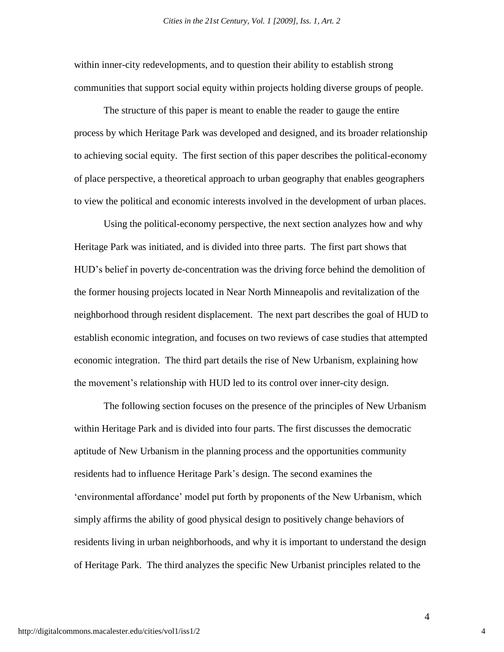within inner-city redevelopments, and to question their ability to establish strong communities that support social equity within projects holding diverse groups of people.

The structure of this paper is meant to enable the reader to gauge the entire process by which Heritage Park was developed and designed, and its broader relationship to achieving social equity. The first section of this paper describes the political-economy of place perspective, a theoretical approach to urban geography that enables geographers to view the political and economic interests involved in the development of urban places.

Using the political-economy perspective, the next section analyzes how and why Heritage Park was initiated, and is divided into three parts. The first part shows that HUD"s belief in poverty de-concentration was the driving force behind the demolition of the former housing projects located in Near North Minneapolis and revitalization of the neighborhood through resident displacement. The next part describes the goal of HUD to establish economic integration, and focuses on two reviews of case studies that attempted economic integration. The third part details the rise of New Urbanism, explaining how the movement"s relationship with HUD led to its control over inner-city design.

The following section focuses on the presence of the principles of New Urbanism within Heritage Park and is divided into four parts. The first discusses the democratic aptitude of New Urbanism in the planning process and the opportunities community residents had to influence Heritage Park"s design. The second examines the "environmental affordance" model put forth by proponents of the New Urbanism, which simply affirms the ability of good physical design to positively change behaviors of residents living in urban neighborhoods, and why it is important to understand the design of Heritage Park. The third analyzes the specific New Urbanist principles related to the

4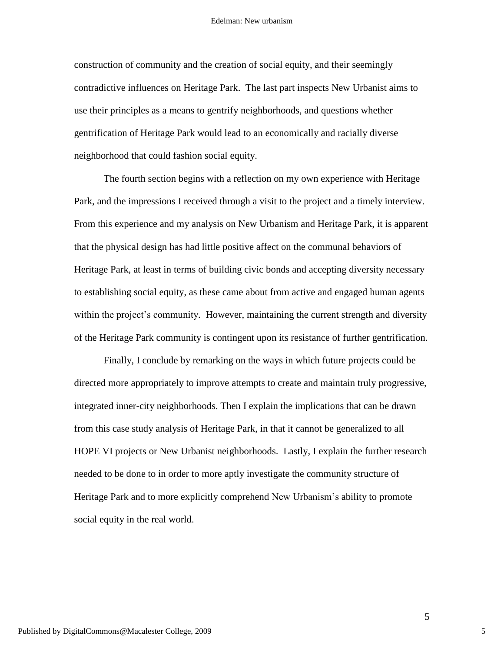construction of community and the creation of social equity, and their seemingly contradictive influences on Heritage Park. The last part inspects New Urbanist aims to use their principles as a means to gentrify neighborhoods, and questions whether gentrification of Heritage Park would lead to an economically and racially diverse neighborhood that could fashion social equity.

The fourth section begins with a reflection on my own experience with Heritage Park, and the impressions I received through a visit to the project and a timely interview. From this experience and my analysis on New Urbanism and Heritage Park, it is apparent that the physical design has had little positive affect on the communal behaviors of Heritage Park, at least in terms of building civic bonds and accepting diversity necessary to establishing social equity, as these came about from active and engaged human agents within the project's community. However, maintaining the current strength and diversity of the Heritage Park community is contingent upon its resistance of further gentrification.

Finally, I conclude by remarking on the ways in which future projects could be directed more appropriately to improve attempts to create and maintain truly progressive, integrated inner-city neighborhoods. Then I explain the implications that can be drawn from this case study analysis of Heritage Park, in that it cannot be generalized to all HOPE VI projects or New Urbanist neighborhoods. Lastly, I explain the further research needed to be done to in order to more aptly investigate the community structure of Heritage Park and to more explicitly comprehend New Urbanism's ability to promote social equity in the real world.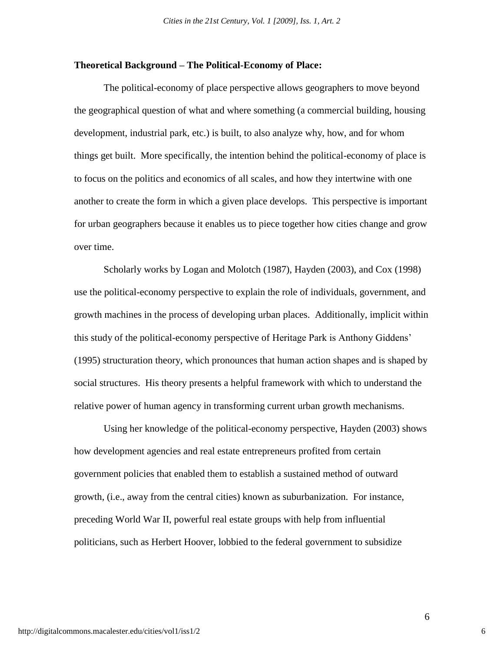#### **Theoretical Background – The Political-Economy of Place:**

The political-economy of place perspective allows geographers to move beyond the geographical question of what and where something (a commercial building, housing development, industrial park, etc.) is built, to also analyze why, how, and for whom things get built. More specifically, the intention behind the political-economy of place is to focus on the politics and economics of all scales, and how they intertwine with one another to create the form in which a given place develops. This perspective is important for urban geographers because it enables us to piece together how cities change and grow over time.

Scholarly works by Logan and Molotch (1987), Hayden (2003), and Cox (1998) use the political-economy perspective to explain the role of individuals, government, and growth machines in the process of developing urban places. Additionally, implicit within this study of the political-economy perspective of Heritage Park is Anthony Giddens" (1995) structuration theory, which pronounces that human action shapes and is shaped by social structures. His theory presents a helpful framework with which to understand the relative power of human agency in transforming current urban growth mechanisms.

Using her knowledge of the political-economy perspective, Hayden (2003) shows how development agencies and real estate entrepreneurs profited from certain government policies that enabled them to establish a sustained method of outward growth, (i.e., away from the central cities) known as suburbanization. For instance, preceding World War II, powerful real estate groups with help from influential politicians, such as Herbert Hoover, lobbied to the federal government to subsidize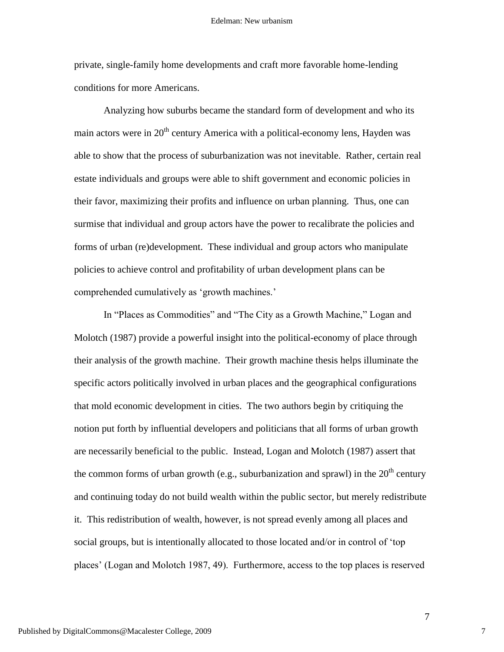private, single-family home developments and craft more favorable home-lending conditions for more Americans.

Analyzing how suburbs became the standard form of development and who its main actors were in  $20<sup>th</sup>$  century America with a political-economy lens. Hayden was able to show that the process of suburbanization was not inevitable. Rather, certain real estate individuals and groups were able to shift government and economic policies in their favor, maximizing their profits and influence on urban planning. Thus, one can surmise that individual and group actors have the power to recalibrate the policies and forms of urban (re)development. These individual and group actors who manipulate policies to achieve control and profitability of urban development plans can be comprehended cumulatively as "growth machines."

In "Places as Commodities" and "The City as a Growth Machine," Logan and Molotch (1987) provide a powerful insight into the political-economy of place through their analysis of the growth machine. Their growth machine thesis helps illuminate the specific actors politically involved in urban places and the geographical configurations that mold economic development in cities. The two authors begin by critiquing the notion put forth by influential developers and politicians that all forms of urban growth are necessarily beneficial to the public. Instead, Logan and Molotch (1987) assert that the common forms of urban growth (e.g., suburbanization and sprawl) in the  $20<sup>th</sup>$  century and continuing today do not build wealth within the public sector, but merely redistribute it. This redistribution of wealth, however, is not spread evenly among all places and social groups, but is intentionally allocated to those located and/or in control of "top places" (Logan and Molotch 1987, 49). Furthermore, access to the top places is reserved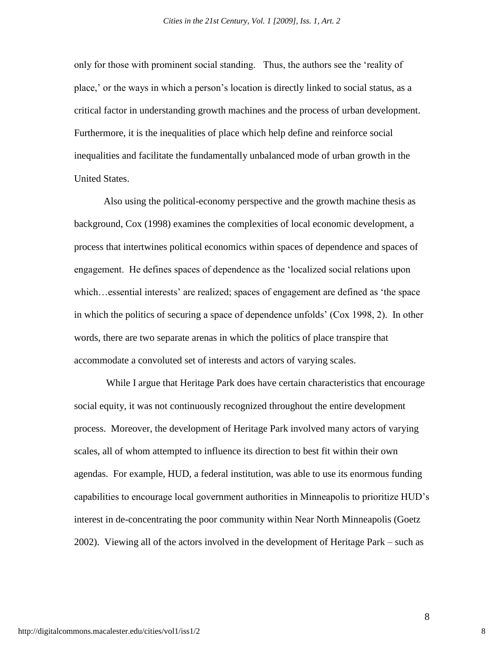only for those with prominent social standing. Thus, the authors see the "reality of place,' or the ways in which a person's location is directly linked to social status, as a critical factor in understanding growth machines and the process of urban development. Furthermore, it is the inequalities of place which help define and reinforce social inequalities and facilitate the fundamentally unbalanced mode of urban growth in the United States.

Also using the political-economy perspective and the growth machine thesis as background, Cox (1998) examines the complexities of local economic development, a process that intertwines political economics within spaces of dependence and spaces of engagement. He defines spaces of dependence as the "localized social relations upon which…essential interests' are realized; spaces of engagement are defined as 'the space in which the politics of securing a space of dependence unfolds" (Cox 1998, 2). In other words, there are two separate arenas in which the politics of place transpire that accommodate a convoluted set of interests and actors of varying scales.

While I argue that Heritage Park does have certain characteristics that encourage social equity, it was not continuously recognized throughout the entire development process. Moreover, the development of Heritage Park involved many actors of varying scales, all of whom attempted to influence its direction to best fit within their own agendas. For example, HUD, a federal institution, was able to use its enormous funding capabilities to encourage local government authorities in Minneapolis to prioritize HUD"s interest in de-concentrating the poor community within Near North Minneapolis (Goetz 2002). Viewing all of the actors involved in the development of Heritage Park – such as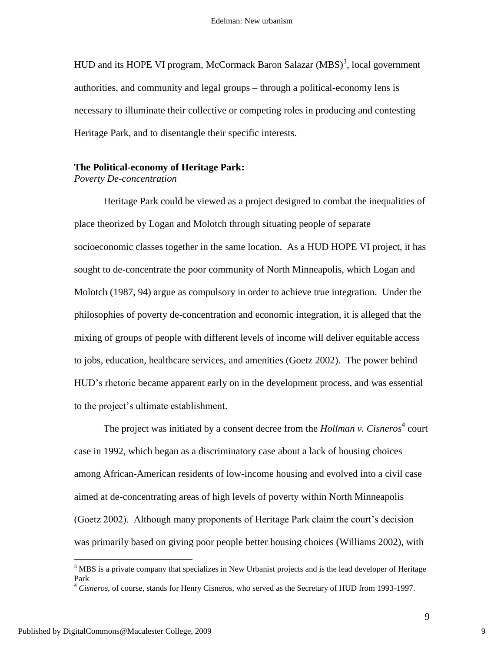HUD and its HOPE VI program, McCormack Baron Salazar  $(MBS)^3$ , local government authorities, and community and legal groups – through a political-economy lens is necessary to illuminate their collective or competing roles in producing and contesting Heritage Park, and to disentangle their specific interests.

#### **The Political-economy of Heritage Park:**

*Poverty De-concentration*

Heritage Park could be viewed as a project designed to combat the inequalities of place theorized by Logan and Molotch through situating people of separate socioeconomic classes together in the same location. As a HUD HOPE VI project, it has sought to de-concentrate the poor community of North Minneapolis, which Logan and Molotch (1987, 94) argue as compulsory in order to achieve true integration. Under the philosophies of poverty de-concentration and economic integration, it is alleged that the mixing of groups of people with different levels of income will deliver equitable access to jobs, education, healthcare services, and amenities (Goetz 2002). The power behind HUD"s rhetoric became apparent early on in the development process, and was essential to the project"s ultimate establishment.

The project was initiated by a consent decree from the *Hollman v. Cisneros*<sup>4</sup> court case in 1992, which began as a discriminatory case about a lack of housing choices among African-American residents of low-income housing and evolved into a civil case aimed at de-concentrating areas of high levels of poverty within North Minneapolis (Goetz 2002). Although many proponents of Heritage Park claim the court"s decision was primarily based on giving poor people better housing choices (Williams 2002), with

<sup>&</sup>lt;sup>3</sup> MBS is a private company that specializes in New Urbanist projects and is the lead developer of Heritage Park

<sup>4</sup> *Cisneros*, of course, stands for Henry Cisneros, who served as the Secretary of HUD from 1993-1997.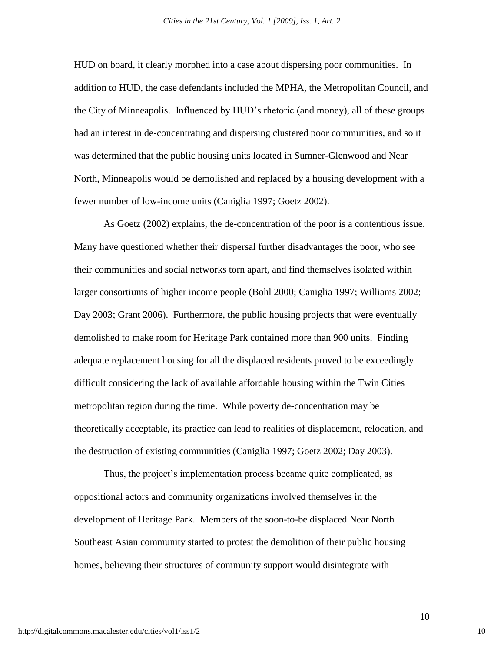HUD on board, it clearly morphed into a case about dispersing poor communities. In addition to HUD, the case defendants included the MPHA, the Metropolitan Council, and the City of Minneapolis. Influenced by HUD"s rhetoric (and money), all of these groups had an interest in de-concentrating and dispersing clustered poor communities, and so it was determined that the public housing units located in Sumner-Glenwood and Near North, Minneapolis would be demolished and replaced by a housing development with a fewer number of low-income units (Caniglia 1997; Goetz 2002).

As Goetz (2002) explains, the de-concentration of the poor is a contentious issue. Many have questioned whether their dispersal further disadvantages the poor, who see their communities and social networks torn apart, and find themselves isolated within larger consortiums of higher income people (Bohl 2000; Caniglia 1997; Williams 2002; Day 2003; Grant 2006). Furthermore, the public housing projects that were eventually demolished to make room for Heritage Park contained more than 900 units. Finding adequate replacement housing for all the displaced residents proved to be exceedingly difficult considering the lack of available affordable housing within the Twin Cities metropolitan region during the time. While poverty de-concentration may be theoretically acceptable, its practice can lead to realities of displacement, relocation, and the destruction of existing communities (Caniglia 1997; Goetz 2002; Day 2003).

Thus, the project's implementation process became quite complicated, as oppositional actors and community organizations involved themselves in the development of Heritage Park. Members of the soon-to-be displaced Near North Southeast Asian community started to protest the demolition of their public housing homes, believing their structures of community support would disintegrate with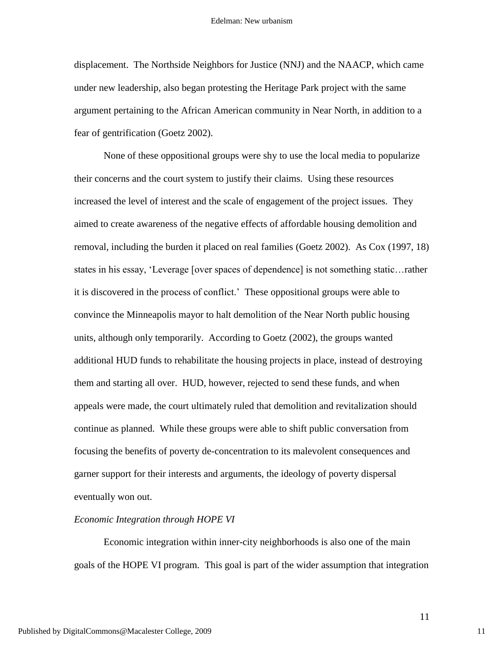displacement. The Northside Neighbors for Justice (NNJ) and the NAACP, which came under new leadership, also began protesting the Heritage Park project with the same argument pertaining to the African American community in Near North, in addition to a fear of gentrification (Goetz 2002).

None of these oppositional groups were shy to use the local media to popularize their concerns and the court system to justify their claims. Using these resources increased the level of interest and the scale of engagement of the project issues. They aimed to create awareness of the negative effects of affordable housing demolition and removal, including the burden it placed on real families (Goetz 2002). As Cox (1997, 18) states in his essay, "Leverage [over spaces of dependence] is not something static…rather it is discovered in the process of conflict." These oppositional groups were able to convince the Minneapolis mayor to halt demolition of the Near North public housing units, although only temporarily. According to Goetz (2002), the groups wanted additional HUD funds to rehabilitate the housing projects in place, instead of destroying them and starting all over. HUD, however, rejected to send these funds, and when appeals were made, the court ultimately ruled that demolition and revitalization should continue as planned. While these groups were able to shift public conversation from focusing the benefits of poverty de-concentration to its malevolent consequences and garner support for their interests and arguments, the ideology of poverty dispersal eventually won out.

#### *Economic Integration through HOPE VI*

Economic integration within inner-city neighborhoods is also one of the main goals of the HOPE VI program. This goal is part of the wider assumption that integration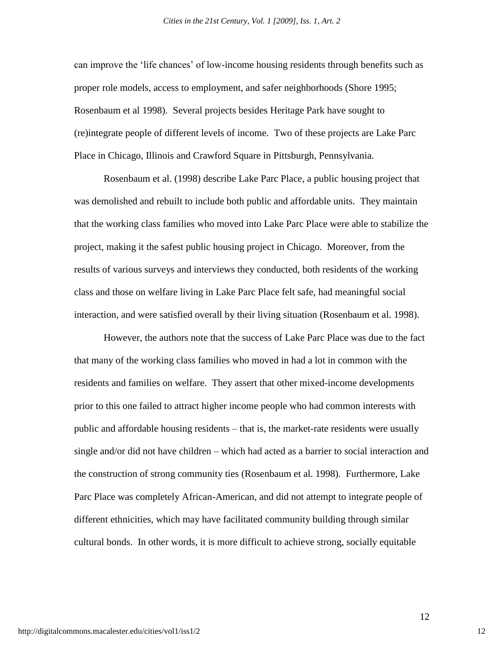can improve the "life chances" of low-income housing residents through benefits such as proper role models, access to employment, and safer neighborhoods (Shore 1995; Rosenbaum et al 1998). Several projects besides Heritage Park have sought to (re)integrate people of different levels of income. Two of these projects are Lake Parc Place in Chicago, Illinois and Crawford Square in Pittsburgh, Pennsylvania.

Rosenbaum et al. (1998) describe Lake Parc Place, a public housing project that was demolished and rebuilt to include both public and affordable units. They maintain that the working class families who moved into Lake Parc Place were able to stabilize the project, making it the safest public housing project in Chicago. Moreover, from the results of various surveys and interviews they conducted, both residents of the working class and those on welfare living in Lake Parc Place felt safe, had meaningful social interaction, and were satisfied overall by their living situation (Rosenbaum et al. 1998).

However, the authors note that the success of Lake Parc Place was due to the fact that many of the working class families who moved in had a lot in common with the residents and families on welfare. They assert that other mixed-income developments prior to this one failed to attract higher income people who had common interests with public and affordable housing residents – that is, the market-rate residents were usually single and/or did not have children – which had acted as a barrier to social interaction and the construction of strong community ties (Rosenbaum et al. 1998). Furthermore, Lake Parc Place was completely African-American, and did not attempt to integrate people of different ethnicities, which may have facilitated community building through similar cultural bonds. In other words, it is more difficult to achieve strong, socially equitable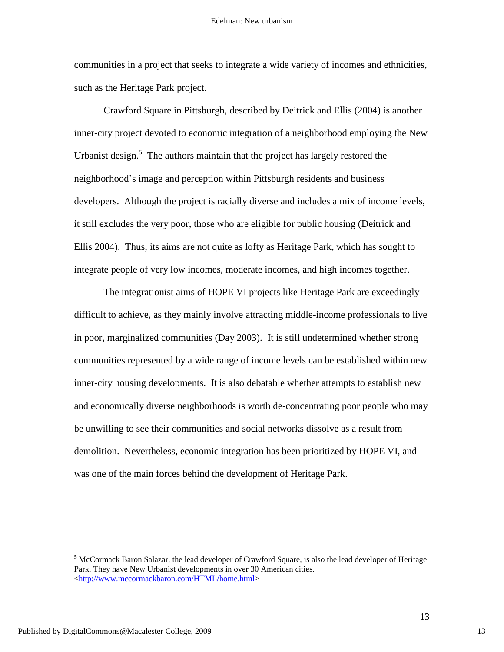communities in a project that seeks to integrate a wide variety of incomes and ethnicities, such as the Heritage Park project.

Crawford Square in Pittsburgh, described by Deitrick and Ellis (2004) is another inner-city project devoted to economic integration of a neighborhood employing the New Urbanist design.<sup>5</sup> The authors maintain that the project has largely restored the neighborhood"s image and perception within Pittsburgh residents and business developers. Although the project is racially diverse and includes a mix of income levels, it still excludes the very poor, those who are eligible for public housing (Deitrick and Ellis 2004). Thus, its aims are not quite as lofty as Heritage Park, which has sought to integrate people of very low incomes, moderate incomes, and high incomes together.

The integrationist aims of HOPE VI projects like Heritage Park are exceedingly difficult to achieve, as they mainly involve attracting middle-income professionals to live in poor, marginalized communities (Day 2003). It is still undetermined whether strong communities represented by a wide range of income levels can be established within new inner-city housing developments. It is also debatable whether attempts to establish new and economically diverse neighborhoods is worth de-concentrating poor people who may be unwilling to see their communities and social networks dissolve as a result from demolition. Nevertheless, economic integration has been prioritized by HOPE VI, and was one of the main forces behind the development of Heritage Park.

<sup>&</sup>lt;sup>5</sup> McCormack Baron Salazar, the lead developer of Crawford Square, is also the lead developer of Heritage Park. They have New Urbanist developments in over 30 American cities. [<http://www.mccormackbaron.com/HTML/home.html>](http://www.mccormackbaron.com/HTML/home.html)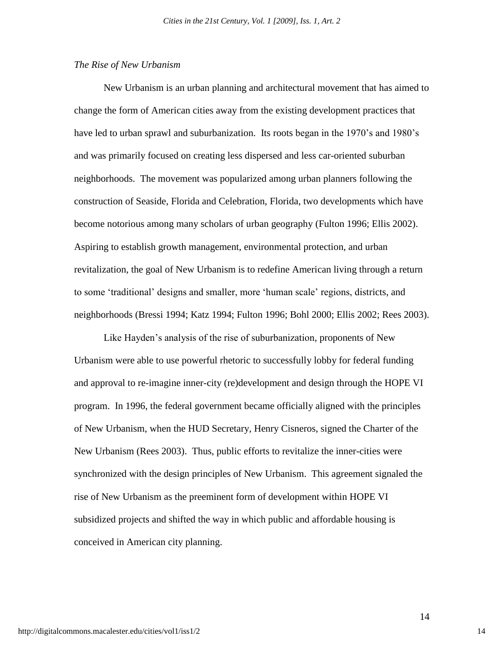#### *The Rise of New Urbanism*

New Urbanism is an urban planning and architectural movement that has aimed to change the form of American cities away from the existing development practices that have led to urban sprawl and suburbanization. Its roots began in the 1970's and 1980's and was primarily focused on creating less dispersed and less car-oriented suburban neighborhoods. The movement was popularized among urban planners following the construction of Seaside, Florida and Celebration, Florida, two developments which have become notorious among many scholars of urban geography (Fulton 1996; Ellis 2002). Aspiring to establish growth management, environmental protection, and urban revitalization, the goal of New Urbanism is to redefine American living through a return to some "traditional" designs and smaller, more "human scale" regions, districts, and neighborhoods (Bressi 1994; Katz 1994; Fulton 1996; Bohl 2000; Ellis 2002; Rees 2003).

Like Hayden"s analysis of the rise of suburbanization, proponents of New Urbanism were able to use powerful rhetoric to successfully lobby for federal funding and approval to re-imagine inner-city (re)development and design through the HOPE VI program. In 1996, the federal government became officially aligned with the principles of New Urbanism, when the HUD Secretary, Henry Cisneros, signed the Charter of the New Urbanism (Rees 2003). Thus, public efforts to revitalize the inner-cities were synchronized with the design principles of New Urbanism. This agreement signaled the rise of New Urbanism as the preeminent form of development within HOPE VI subsidized projects and shifted the way in which public and affordable housing is conceived in American city planning.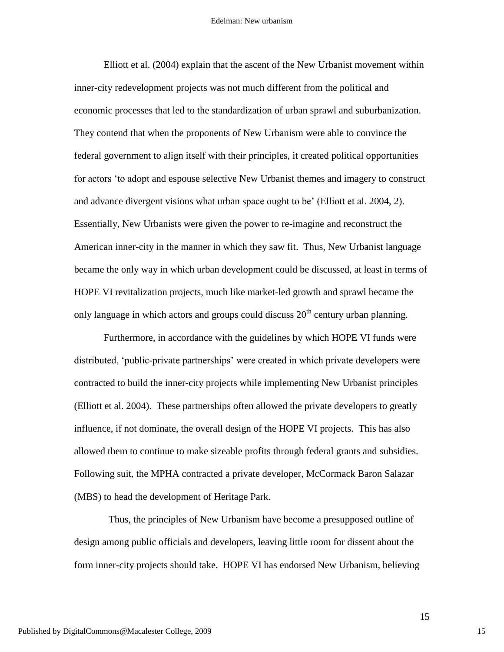Elliott et al. (2004) explain that the ascent of the New Urbanist movement within inner-city redevelopment projects was not much different from the political and economic processes that led to the standardization of urban sprawl and suburbanization. They contend that when the proponents of New Urbanism were able to convince the federal government to align itself with their principles, it created political opportunities for actors "to adopt and espouse selective New Urbanist themes and imagery to construct and advance divergent visions what urban space ought to be' (Elliott et al. 2004, 2). Essentially, New Urbanists were given the power to re-imagine and reconstruct the American inner-city in the manner in which they saw fit. Thus, New Urbanist language became the only way in which urban development could be discussed, at least in terms of HOPE VI revitalization projects, much like market-led growth and sprawl became the only language in which actors and groups could discuss  $20<sup>th</sup>$  century urban planning.

Furthermore, in accordance with the guidelines by which HOPE VI funds were distributed, "public-private partnerships" were created in which private developers were contracted to build the inner-city projects while implementing New Urbanist principles (Elliott et al. 2004). These partnerships often allowed the private developers to greatly influence, if not dominate, the overall design of the HOPE VI projects. This has also allowed them to continue to make sizeable profits through federal grants and subsidies. Following suit, the MPHA contracted a private developer, McCormack Baron Salazar (MBS) to head the development of Heritage Park.

Thus, the principles of New Urbanism have become a presupposed outline of design among public officials and developers, leaving little room for dissent about the form inner-city projects should take. HOPE VI has endorsed New Urbanism, believing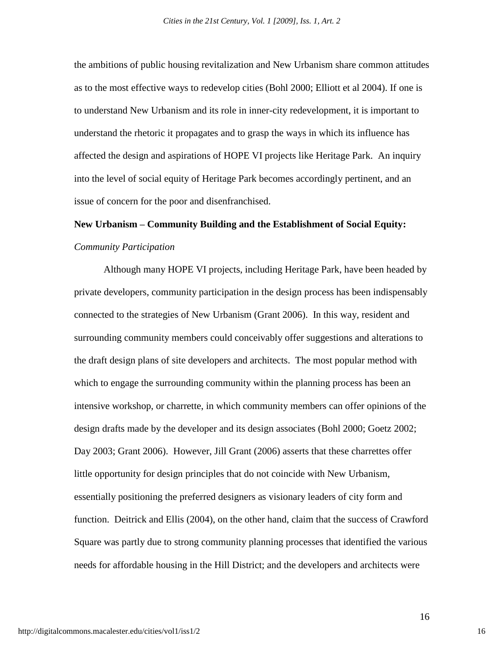the ambitions of public housing revitalization and New Urbanism share common attitudes as to the most effective ways to redevelop cities (Bohl 2000; Elliott et al 2004). If one is to understand New Urbanism and its role in inner-city redevelopment, it is important to understand the rhetoric it propagates and to grasp the ways in which its influence has affected the design and aspirations of HOPE VI projects like Heritage Park. An inquiry into the level of social equity of Heritage Park becomes accordingly pertinent, and an issue of concern for the poor and disenfranchised.

# **New Urbanism – Community Building and the Establishment of Social Equity:** *Community Participation*

Although many HOPE VI projects, including Heritage Park, have been headed by private developers, community participation in the design process has been indispensably connected to the strategies of New Urbanism (Grant 2006). In this way, resident and surrounding community members could conceivably offer suggestions and alterations to the draft design plans of site developers and architects. The most popular method with which to engage the surrounding community within the planning process has been an intensive workshop, or charrette, in which community members can offer opinions of the design drafts made by the developer and its design associates (Bohl 2000; Goetz 2002; Day 2003; Grant 2006). However, Jill Grant (2006) asserts that these charrettes offer little opportunity for design principles that do not coincide with New Urbanism, essentially positioning the preferred designers as visionary leaders of city form and function. Deitrick and Ellis (2004), on the other hand, claim that the success of Crawford Square was partly due to strong community planning processes that identified the various needs for affordable housing in the Hill District; and the developers and architects were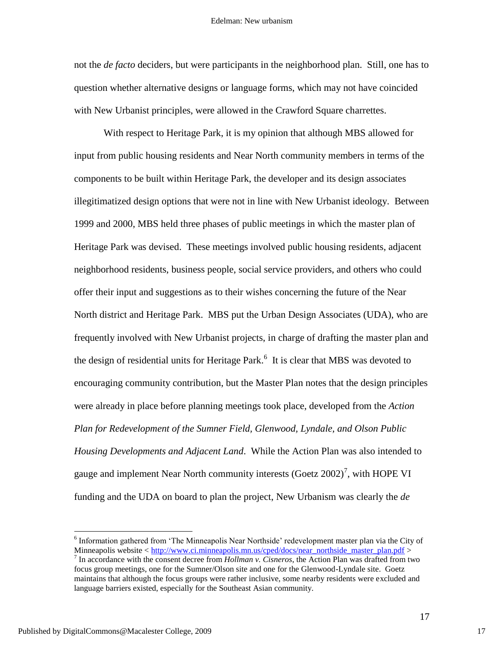not the *de facto* deciders, but were participants in the neighborhood plan. Still, one has to question whether alternative designs or language forms, which may not have coincided with New Urbanist principles, were allowed in the Crawford Square charrettes.

With respect to Heritage Park, it is my opinion that although MBS allowed for input from public housing residents and Near North community members in terms of the components to be built within Heritage Park, the developer and its design associates illegitimatized design options that were not in line with New Urbanist ideology. Between 1999 and 2000, MBS held three phases of public meetings in which the master plan of Heritage Park was devised. These meetings involved public housing residents, adjacent neighborhood residents, business people, social service providers, and others who could offer their input and suggestions as to their wishes concerning the future of the Near North district and Heritage Park. MBS put the Urban Design Associates (UDA), who are frequently involved with New Urbanist projects, in charge of drafting the master plan and the design of residential units for Heritage Park.<sup>6</sup> It is clear that MBS was devoted to encouraging community contribution, but the Master Plan notes that the design principles were already in place before planning meetings took place, developed from the *Action Plan for Redevelopment of the Sumner Field, Glenwood, Lyndale, and Olson Public Housing Developments and Adjacent Land*. While the Action Plan was also intended to gauge and implement Near North community interests  $(G$ oetz  $2002)^7$ , with HOPE VI funding and the UDA on board to plan the project, New Urbanism was clearly the *de* 

<sup>&</sup>lt;sup>6</sup> Information gathered from 'The Minneapolis Near Northside' redevelopment master plan via the City of Minneapolis website < [http://www.ci.minneapolis.mn.us/cped/docs/near\\_northside\\_master\\_plan.pdf](http://www.ci.minneapolis.mn.us/cped/docs/near_northside_master_plan.pdf) >

<sup>7</sup> In accordance with the consent decree from *Hollman v. Cisneros*, the Action Plan was drafted from two focus group meetings, one for the Sumner/Olson site and one for the Glenwood-Lyndale site. Goetz maintains that although the focus groups were rather inclusive, some nearby residents were excluded and language barriers existed, especially for the Southeast Asian community.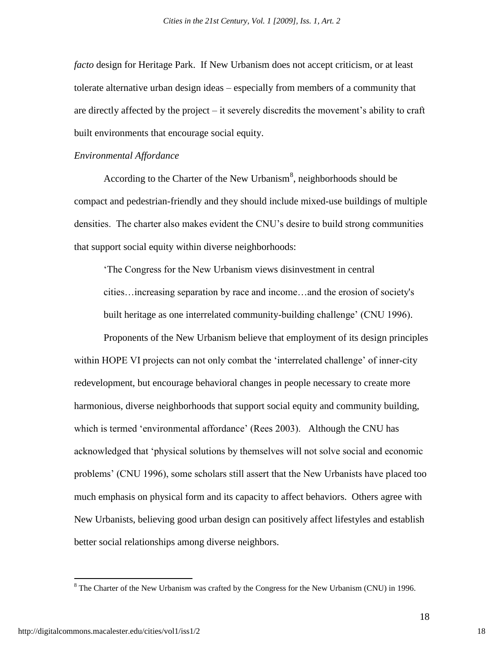*facto* design for Heritage Park. If New Urbanism does not accept criticism, or at least tolerate alternative urban design ideas – especially from members of a community that are directly affected by the project – it severely discredits the movement"s ability to craft built environments that encourage social equity.

#### *Environmental Affordance*

According to the Charter of the New Urbanism<sup>8</sup>, neighborhoods should be compact and pedestrian-friendly and they should include mixed-use buildings of multiple densities. The charter also makes evident the CNU"s desire to build strong communities that support social equity within diverse neighborhoods:

"The Congress for the New Urbanism views disinvestment in central cities…increasing separation by race and income…and the erosion of society's built heritage as one interrelated community-building challenge" (CNU 1996).

Proponents of the New Urbanism believe that employment of its design principles within HOPE VI projects can not only combat the 'interrelated challenge' of inner-city redevelopment, but encourage behavioral changes in people necessary to create more harmonious, diverse neighborhoods that support social equity and community building, which is termed 'environmental affordance' (Rees 2003). Although the CNU has acknowledged that "physical solutions by themselves will not solve social and economic problems" (CNU 1996), some scholars still assert that the New Urbanists have placed too much emphasis on physical form and its capacity to affect behaviors. Others agree with New Urbanists, believing good urban design can positively affect lifestyles and establish better social relationships among diverse neighbors.

<sup>&</sup>lt;sup>8</sup> The Charter of the New Urbanism was crafted by the Congress for the New Urbanism (CNU) in 1996.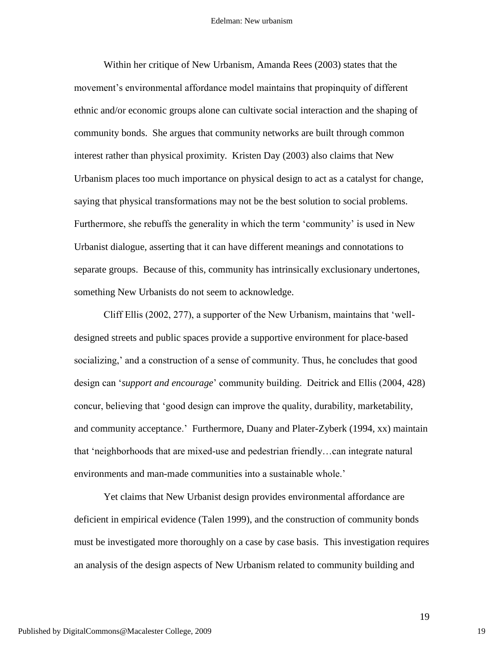Within her critique of New Urbanism, Amanda Rees (2003) states that the movement"s environmental affordance model maintains that propinquity of different ethnic and/or economic groups alone can cultivate social interaction and the shaping of community bonds. She argues that community networks are built through common interest rather than physical proximity. Kristen Day (2003) also claims that New Urbanism places too much importance on physical design to act as a catalyst for change, saying that physical transformations may not be the best solution to social problems. Furthermore, she rebuffs the generality in which the term "community" is used in New Urbanist dialogue, asserting that it can have different meanings and connotations to separate groups. Because of this, community has intrinsically exclusionary undertones, something New Urbanists do not seem to acknowledge.

Cliff Ellis (2002, 277), a supporter of the New Urbanism, maintains that "welldesigned streets and public spaces provide a supportive environment for place-based socializing," and a construction of a sense of community. Thus, he concludes that good design can "*support and encourage*" community building. Deitrick and Ellis (2004, 428) concur, believing that "good design can improve the quality, durability, marketability, and community acceptance." Furthermore, Duany and Plater-Zyberk (1994, xx) maintain that "neighborhoods that are mixed-use and pedestrian friendly…can integrate natural environments and man-made communities into a sustainable whole.'

Yet claims that New Urbanist design provides environmental affordance are deficient in empirical evidence (Talen 1999), and the construction of community bonds must be investigated more thoroughly on a case by case basis. This investigation requires an analysis of the design aspects of New Urbanism related to community building and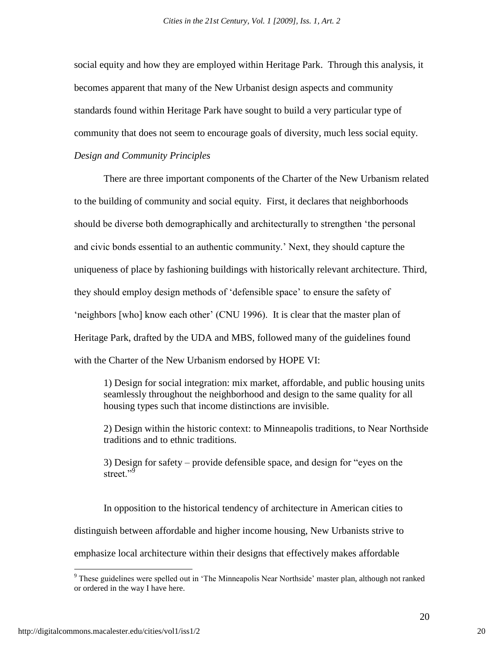social equity and how they are employed within Heritage Park. Through this analysis, it becomes apparent that many of the New Urbanist design aspects and community standards found within Heritage Park have sought to build a very particular type of community that does not seem to encourage goals of diversity, much less social equity. *Design and Community Principles*

There are three important components of the Charter of the New Urbanism related to the building of community and social equity. First, it declares that neighborhoods should be diverse both demographically and architecturally to strengthen "the personal and civic bonds essential to an authentic community." Next, they should capture the uniqueness of place by fashioning buildings with historically relevant architecture. Third, they should employ design methods of "defensible space" to ensure the safety of "neighbors [who] know each other" (CNU 1996). It is clear that the master plan of Heritage Park, drafted by the UDA and MBS, followed many of the guidelines found with the Charter of the New Urbanism endorsed by HOPE VI:

1) Design for social integration: mix market, affordable, and public housing units seamlessly throughout the neighborhood and design to the same quality for all housing types such that income distinctions are invisible.

2) Design within the historic context: to Minneapolis traditions, to Near Northside traditions and to ethnic traditions.

3) Design for safety – provide defensible space, and design for "eyes on the street." $\overline{9}$ 

In opposition to the historical tendency of architecture in American cities to distinguish between affordable and higher income housing, New Urbanists strive to emphasize local architecture within their designs that effectively makes affordable

<sup>&</sup>lt;sup>9</sup> These guidelines were spelled out in 'The Minneapolis Near Northside' master plan, although not ranked or ordered in the way I have here.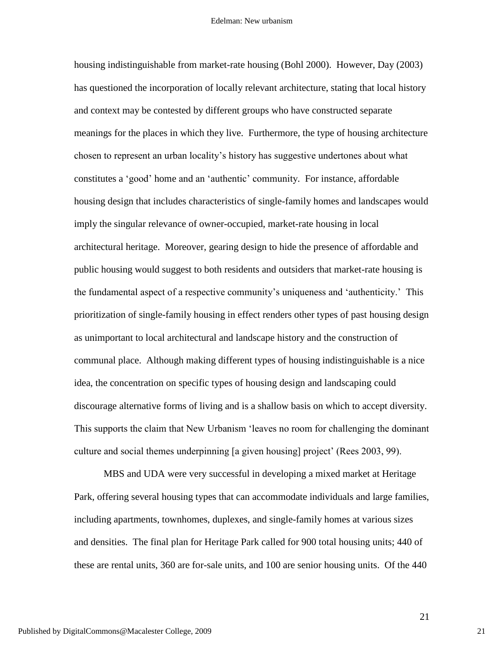housing indistinguishable from market-rate housing (Bohl 2000). However, Day (2003) has questioned the incorporation of locally relevant architecture, stating that local history and context may be contested by different groups who have constructed separate meanings for the places in which they live. Furthermore, the type of housing architecture chosen to represent an urban locality"s history has suggestive undertones about what constitutes a "good" home and an "authentic" community. For instance, affordable housing design that includes characteristics of single-family homes and landscapes would imply the singular relevance of owner-occupied, market-rate housing in local architectural heritage. Moreover, gearing design to hide the presence of affordable and public housing would suggest to both residents and outsiders that market-rate housing is the fundamental aspect of a respective community"s uniqueness and "authenticity." This prioritization of single-family housing in effect renders other types of past housing design as unimportant to local architectural and landscape history and the construction of communal place. Although making different types of housing indistinguishable is a nice idea, the concentration on specific types of housing design and landscaping could discourage alternative forms of living and is a shallow basis on which to accept diversity. This supports the claim that New Urbanism "leaves no room for challenging the dominant culture and social themes underpinning [a given housing] project' (Rees 2003, 99).

MBS and UDA were very successful in developing a mixed market at Heritage Park, offering several housing types that can accommodate individuals and large families, including apartments, townhomes, duplexes, and single-family homes at various sizes and densities. The final plan for Heritage Park called for 900 total housing units; 440 of these are rental units, 360 are for-sale units, and 100 are senior housing units. Of the 440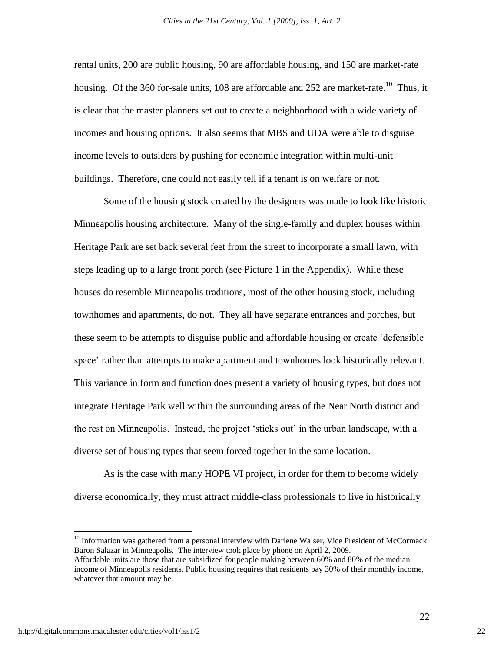rental units, 200 are public housing, 90 are affordable housing, and 150 are market-rate housing. Of the 360 for-sale units, 108 are affordable and 252 are market-rate.<sup>10</sup> Thus, it is clear that the master planners set out to create a neighborhood with a wide variety of incomes and housing options. It also seems that MBS and UDA were able to disguise income levels to outsiders by pushing for economic integration within multi-unit buildings. Therefore, one could not easily tell if a tenant is on welfare or not.

Some of the housing stock created by the designers was made to look like historic Minneapolis housing architecture. Many of the single-family and duplex houses within Heritage Park are set back several feet from the street to incorporate a small lawn, with steps leading up to a large front porch (see Picture 1 in the Appendix). While these houses do resemble Minneapolis traditions, most of the other housing stock, including townhomes and apartments, do not. They all have separate entrances and porches, but these seem to be attempts to disguise public and affordable housing or create "defensible space" rather than attempts to make apartment and townhomes look historically relevant. This variance in form and function does present a variety of housing types, but does not integrate Heritage Park well within the surrounding areas of the Near North district and the rest on Minneapolis. Instead, the project "sticks out" in the urban landscape, with a diverse set of housing types that seem forced together in the same location.

As is the case with many HOPE VI project, in order for them to become widely diverse economically, they must attract middle-class professionals to live in historically

<sup>10</sup> Information was gathered from a personal interview with Darlene Walser, Vice President of McCormack Baron Salazar in Minneapolis. The interview took place by phone on April 2, 2009. Affordable units are those that are subsidized for people making between 60% and 80% of the median

income of Minneapolis residents. Public housing requires that residents pay 30% of their monthly income, whatever that amount may be.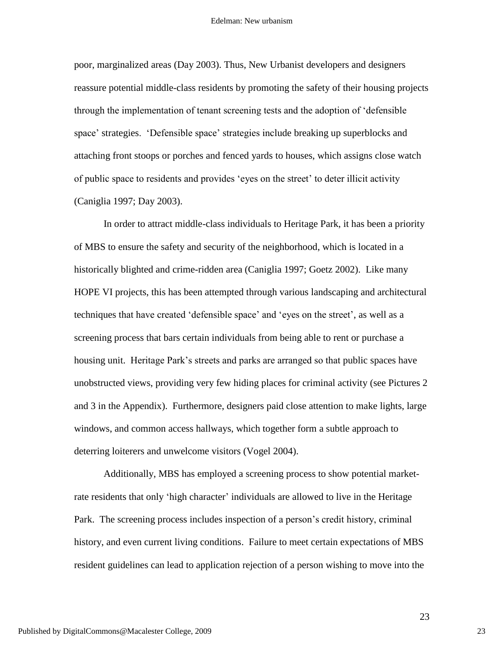poor, marginalized areas (Day 2003). Thus, New Urbanist developers and designers reassure potential middle-class residents by promoting the safety of their housing projects through the implementation of tenant screening tests and the adoption of "defensible space" strategies. "Defensible space" strategies include breaking up superblocks and attaching front stoops or porches and fenced yards to houses, which assigns close watch of public space to residents and provides "eyes on the street" to deter illicit activity (Caniglia 1997; Day 2003).

In order to attract middle-class individuals to Heritage Park, it has been a priority of MBS to ensure the safety and security of the neighborhood, which is located in a historically blighted and crime-ridden area (Caniglia 1997; Goetz 2002). Like many HOPE VI projects, this has been attempted through various landscaping and architectural techniques that have created "defensible space" and "eyes on the street", as well as a screening process that bars certain individuals from being able to rent or purchase a housing unit. Heritage Park's streets and parks are arranged so that public spaces have unobstructed views, providing very few hiding places for criminal activity (see Pictures 2 and 3 in the Appendix). Furthermore, designers paid close attention to make lights, large windows, and common access hallways, which together form a subtle approach to deterring loiterers and unwelcome visitors (Vogel 2004).

Additionally, MBS has employed a screening process to show potential marketrate residents that only 'high character' individuals are allowed to live in the Heritage Park. The screening process includes inspection of a person"s credit history, criminal history, and even current living conditions. Failure to meet certain expectations of MBS resident guidelines can lead to application rejection of a person wishing to move into the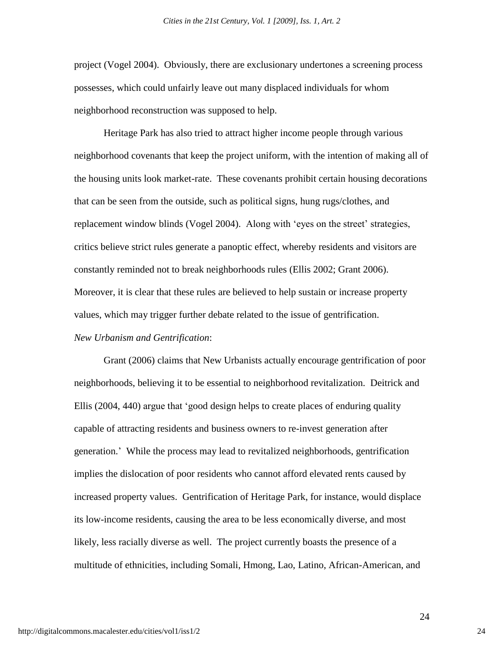project (Vogel 2004). Obviously, there are exclusionary undertones a screening process possesses, which could unfairly leave out many displaced individuals for whom neighborhood reconstruction was supposed to help.

Heritage Park has also tried to attract higher income people through various neighborhood covenants that keep the project uniform, with the intention of making all of the housing units look market-rate. These covenants prohibit certain housing decorations that can be seen from the outside, such as political signs, hung rugs/clothes, and replacement window blinds (Vogel 2004). Along with "eyes on the street" strategies, critics believe strict rules generate a panoptic effect, whereby residents and visitors are constantly reminded not to break neighborhoods rules (Ellis 2002; Grant 2006). Moreover, it is clear that these rules are believed to help sustain or increase property values, which may trigger further debate related to the issue of gentrification. *New Urbanism and Gentrification*:

Grant (2006) claims that New Urbanists actually encourage gentrification of poor neighborhoods, believing it to be essential to neighborhood revitalization. Deitrick and Ellis (2004, 440) argue that "good design helps to create places of enduring quality capable of attracting residents and business owners to re-invest generation after generation." While the process may lead to revitalized neighborhoods, gentrification implies the dislocation of poor residents who cannot afford elevated rents caused by increased property values. Gentrification of Heritage Park, for instance, would displace its low-income residents, causing the area to be less economically diverse, and most likely, less racially diverse as well. The project currently boasts the presence of a multitude of ethnicities, including Somali, Hmong, Lao, Latino, African-American, and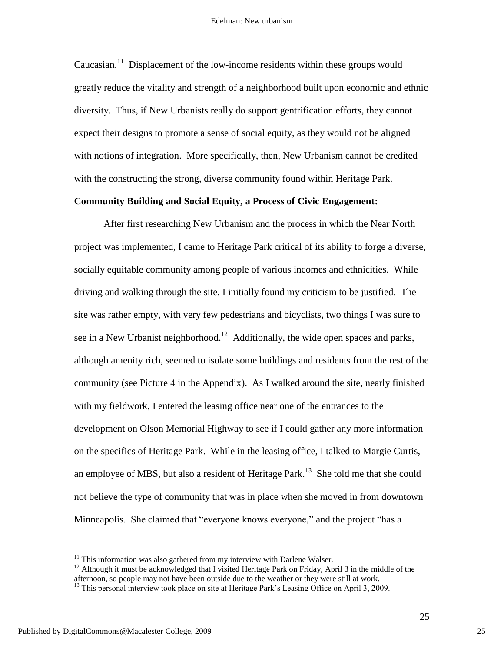Caucasian.<sup>11</sup> Displacement of the low-income residents within these groups would greatly reduce the vitality and strength of a neighborhood built upon economic and ethnic diversity. Thus, if New Urbanists really do support gentrification efforts, they cannot expect their designs to promote a sense of social equity, as they would not be aligned with notions of integration. More specifically, then, New Urbanism cannot be credited with the constructing the strong, diverse community found within Heritage Park.

#### **Community Building and Social Equity, a Process of Civic Engagement:**

After first researching New Urbanism and the process in which the Near North project was implemented, I came to Heritage Park critical of its ability to forge a diverse, socially equitable community among people of various incomes and ethnicities. While driving and walking through the site, I initially found my criticism to be justified. The site was rather empty, with very few pedestrians and bicyclists, two things I was sure to see in a New Urbanist neighborhood.<sup>12</sup> Additionally, the wide open spaces and parks, although amenity rich, seemed to isolate some buildings and residents from the rest of the community (see Picture 4 in the Appendix). As I walked around the site, nearly finished with my fieldwork, I entered the leasing office near one of the entrances to the development on Olson Memorial Highway to see if I could gather any more information on the specifics of Heritage Park. While in the leasing office, I talked to Margie Curtis, an employee of MBS, but also a resident of Heritage Park.<sup>13</sup> She told me that she could not believe the type of community that was in place when she moved in from downtown Minneapolis. She claimed that "everyone knows everyone," and the project "has a

 $11$  This information was also gathered from my interview with Darlene Walser.

<sup>&</sup>lt;sup>12</sup> Although it must be acknowledged that I visited Heritage Park on Friday, April 3 in the middle of the afternoon, so people may not have been outside due to the weather or they were still at work.

<sup>&</sup>lt;sup>13</sup> This personal interview took place on site at Heritage Park's Leasing Office on April 3, 2009.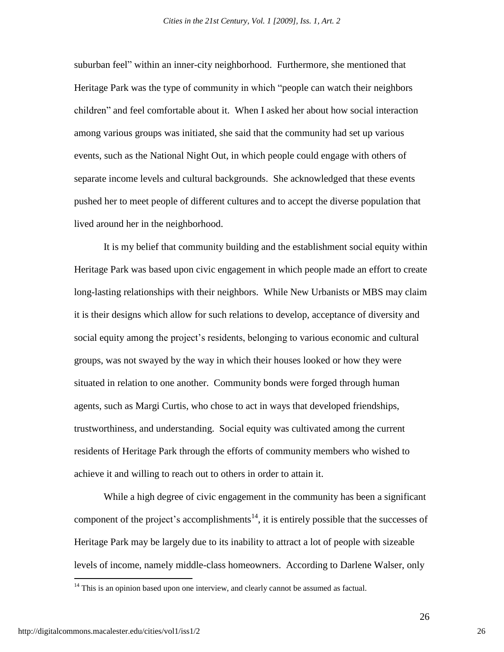suburban feel" within an inner-city neighborhood. Furthermore, she mentioned that Heritage Park was the type of community in which "people can watch their neighbors children" and feel comfortable about it. When I asked her about how social interaction among various groups was initiated, she said that the community had set up various events, such as the National Night Out, in which people could engage with others of separate income levels and cultural backgrounds. She acknowledged that these events pushed her to meet people of different cultures and to accept the diverse population that lived around her in the neighborhood.

It is my belief that community building and the establishment social equity within Heritage Park was based upon civic engagement in which people made an effort to create long-lasting relationships with their neighbors. While New Urbanists or MBS may claim it is their designs which allow for such relations to develop, acceptance of diversity and social equity among the project"s residents, belonging to various economic and cultural groups, was not swayed by the way in which their houses looked or how they were situated in relation to one another. Community bonds were forged through human agents, such as Margi Curtis, who chose to act in ways that developed friendships, trustworthiness, and understanding. Social equity was cultivated among the current residents of Heritage Park through the efforts of community members who wished to achieve it and willing to reach out to others in order to attain it.

While a high degree of civic engagement in the community has been a significant component of the project's accomplishments<sup>14</sup>, it is entirely possible that the successes of Heritage Park may be largely due to its inability to attract a lot of people with sizeable levels of income, namely middle-class homeowners. According to Darlene Walser, only

 $14$  This is an opinion based upon one interview, and clearly cannot be assumed as factual.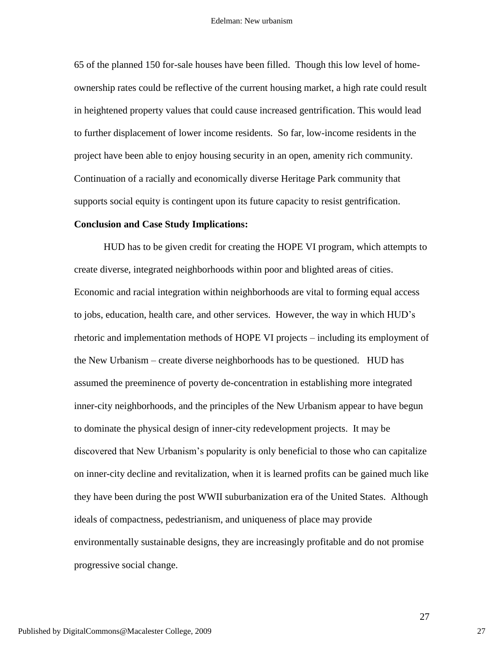65 of the planned 150 for-sale houses have been filled. Though this low level of homeownership rates could be reflective of the current housing market, a high rate could result in heightened property values that could cause increased gentrification. This would lead to further displacement of lower income residents. So far, low-income residents in the project have been able to enjoy housing security in an open, amenity rich community. Continuation of a racially and economically diverse Heritage Park community that supports social equity is contingent upon its future capacity to resist gentrification.

#### **Conclusion and Case Study Implications:**

HUD has to be given credit for creating the HOPE VI program, which attempts to create diverse, integrated neighborhoods within poor and blighted areas of cities. Economic and racial integration within neighborhoods are vital to forming equal access to jobs, education, health care, and other services. However, the way in which HUD"s rhetoric and implementation methods of HOPE VI projects – including its employment of the New Urbanism – create diverse neighborhoods has to be questioned. HUD has assumed the preeminence of poverty de-concentration in establishing more integrated inner-city neighborhoods, and the principles of the New Urbanism appear to have begun to dominate the physical design of inner-city redevelopment projects. It may be discovered that New Urbanism"s popularity is only beneficial to those who can capitalize on inner-city decline and revitalization, when it is learned profits can be gained much like they have been during the post WWII suburbanization era of the United States. Although ideals of compactness, pedestrianism, and uniqueness of place may provide environmentally sustainable designs, they are increasingly profitable and do not promise progressive social change.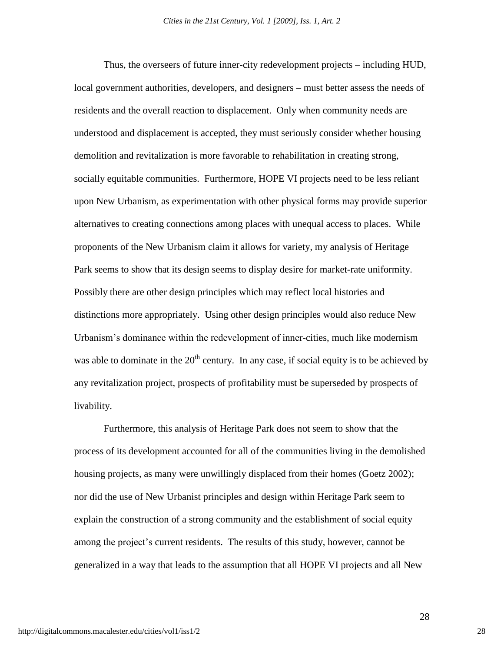Thus, the overseers of future inner-city redevelopment projects – including HUD, local government authorities, developers, and designers – must better assess the needs of residents and the overall reaction to displacement. Only when community needs are understood and displacement is accepted, they must seriously consider whether housing demolition and revitalization is more favorable to rehabilitation in creating strong, socially equitable communities. Furthermore, HOPE VI projects need to be less reliant upon New Urbanism, as experimentation with other physical forms may provide superior alternatives to creating connections among places with unequal access to places. While proponents of the New Urbanism claim it allows for variety, my analysis of Heritage Park seems to show that its design seems to display desire for market-rate uniformity. Possibly there are other design principles which may reflect local histories and distinctions more appropriately. Using other design principles would also reduce New Urbanism"s dominance within the redevelopment of inner-cities, much like modernism was able to dominate in the  $20<sup>th</sup>$  century. In any case, if social equity is to be achieved by any revitalization project, prospects of profitability must be superseded by prospects of livability.

Furthermore, this analysis of Heritage Park does not seem to show that the process of its development accounted for all of the communities living in the demolished housing projects, as many were unwillingly displaced from their homes (Goetz 2002); nor did the use of New Urbanist principles and design within Heritage Park seem to explain the construction of a strong community and the establishment of social equity among the project"s current residents. The results of this study, however, cannot be generalized in a way that leads to the assumption that all HOPE VI projects and all New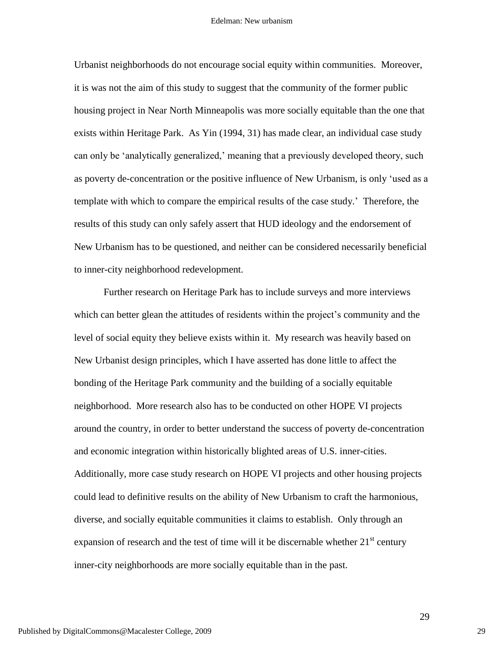Urbanist neighborhoods do not encourage social equity within communities. Moreover, it is was not the aim of this study to suggest that the community of the former public housing project in Near North Minneapolis was more socially equitable than the one that exists within Heritage Park. As Yin (1994, 31) has made clear, an individual case study can only be "analytically generalized," meaning that a previously developed theory, such as poverty de-concentration or the positive influence of New Urbanism, is only "used as a template with which to compare the empirical results of the case study." Therefore, the results of this study can only safely assert that HUD ideology and the endorsement of New Urbanism has to be questioned, and neither can be considered necessarily beneficial to inner-city neighborhood redevelopment.

Further research on Heritage Park has to include surveys and more interviews which can better glean the attitudes of residents within the project's community and the level of social equity they believe exists within it. My research was heavily based on New Urbanist design principles, which I have asserted has done little to affect the bonding of the Heritage Park community and the building of a socially equitable neighborhood. More research also has to be conducted on other HOPE VI projects around the country, in order to better understand the success of poverty de-concentration and economic integration within historically blighted areas of U.S. inner-cities. Additionally, more case study research on HOPE VI projects and other housing projects could lead to definitive results on the ability of New Urbanism to craft the harmonious, diverse, and socially equitable communities it claims to establish. Only through an expansion of research and the test of time will it be discernable whether  $21<sup>st</sup>$  century inner-city neighborhoods are more socially equitable than in the past.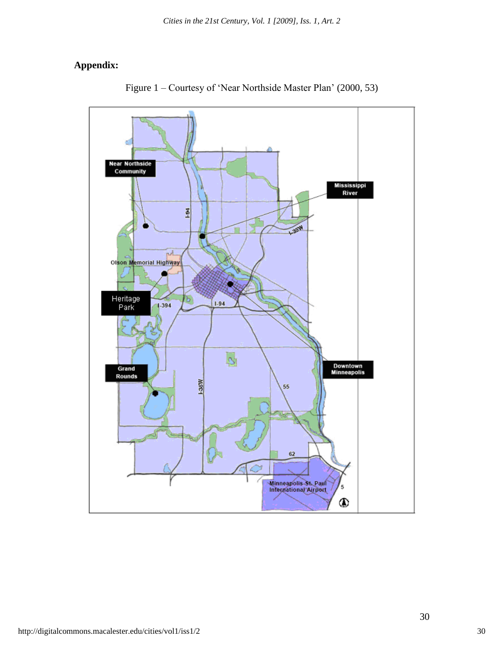## **Appendix:**



Figure 1 – Courtesy of "Near Northside Master Plan" (2000, 53)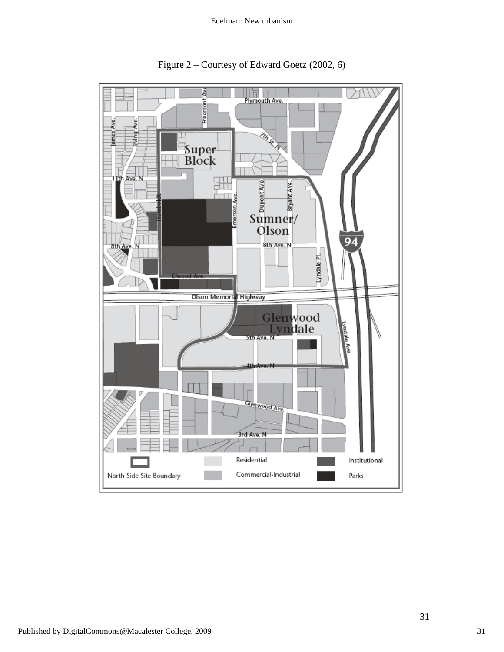

Figure 2 – Courtesy of Edward Goetz (2002, 6)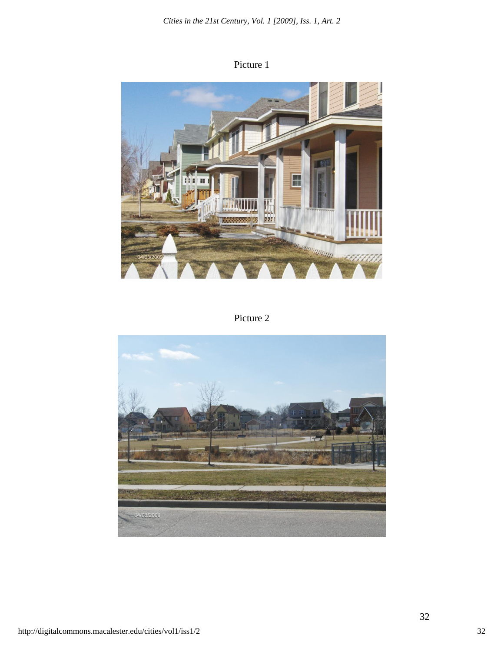Picture 1



Picture 2

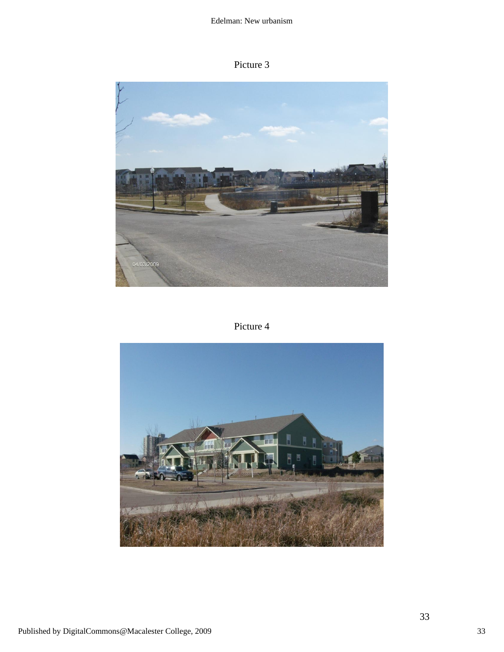## Picture 3



Picture 4

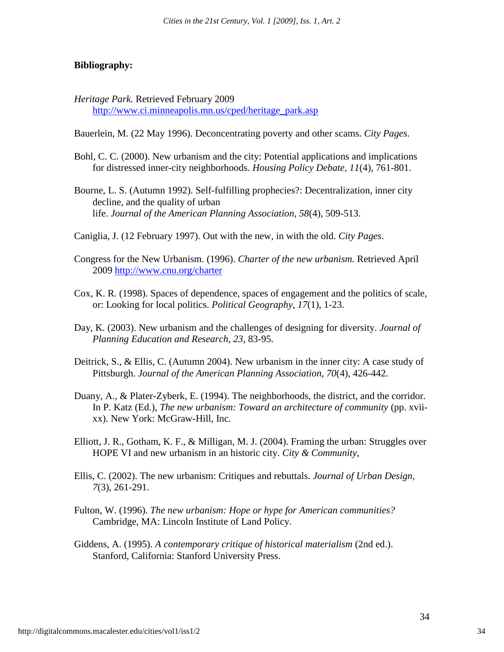#### **Bibliography:**

- *Heritage Park.* Retrieved February 2009 [http://www.ci.minneapolis.mn.us/cped/heritage\\_park.asp](http://www.ci.minneapolis.mn.us/cped/heritage_park.asp)
- Bauerlein, M. (22 May 1996). Deconcentrating poverty and other scams. *City Pages*.
- Bohl, C. C. (2000). New urbanism and the city: Potential applications and implications for distressed inner-city neighborhoods. *Housing Policy Debate, 11*(4), 761-801.
- Bourne, L. S. (Autumn 1992). Self-fulfilling prophecies?: Decentralization, inner city decline, and the quality of urban life. *Journal of the American Planning Association, 58*(4), 509-513.
- Caniglia, J. (12 February 1997). Out with the new, in with the old. *City Pages*.
- Congress for the New Urbanism. (1996). *Charter of the new urbanism.* Retrieved April 2009 <http://www.cnu.org/charter>
- Cox, K. R. (1998). Spaces of dependence, spaces of engagement and the politics of scale, or: Looking for local politics. *Political Geography, 17*(1), 1-23.
- Day, K. (2003). New urbanism and the challenges of designing for diversity. *Journal of Planning Education and Research, 23*, 83-95.
- Deitrick, S., & Ellis, C. (Autumn 2004). New urbanism in the inner city: A case study of Pittsburgh. *Journal of the American Planning Association, 70*(4), 426-442.
- Duany, A., & Plater-Zyberk, E. (1994). The neighborhoods, the district, and the corridor. In P. Katz (Ed.), *The new urbanism: Toward an architecture of community* (pp. xviixx). New York: McGraw-Hill, Inc.
- Elliott, J. R., Gotham, K. F., & Milligan, M. J. (2004). Framing the urban: Struggles over HOPE VI and new urbanism in an historic city. *City & Community,*
- Ellis, C. (2002). The new urbanism: Critiques and rebuttals. *Journal of Urban Design, 7*(3), 261-291.
- Fulton, W. (1996). *The new urbanism: Hope or hype for American communities?* Cambridge, MA: Lincoln Institute of Land Policy.
- Giddens, A. (1995). *A contemporary critique of historical materialism* (2nd ed.). Stanford, California: Stanford University Press.